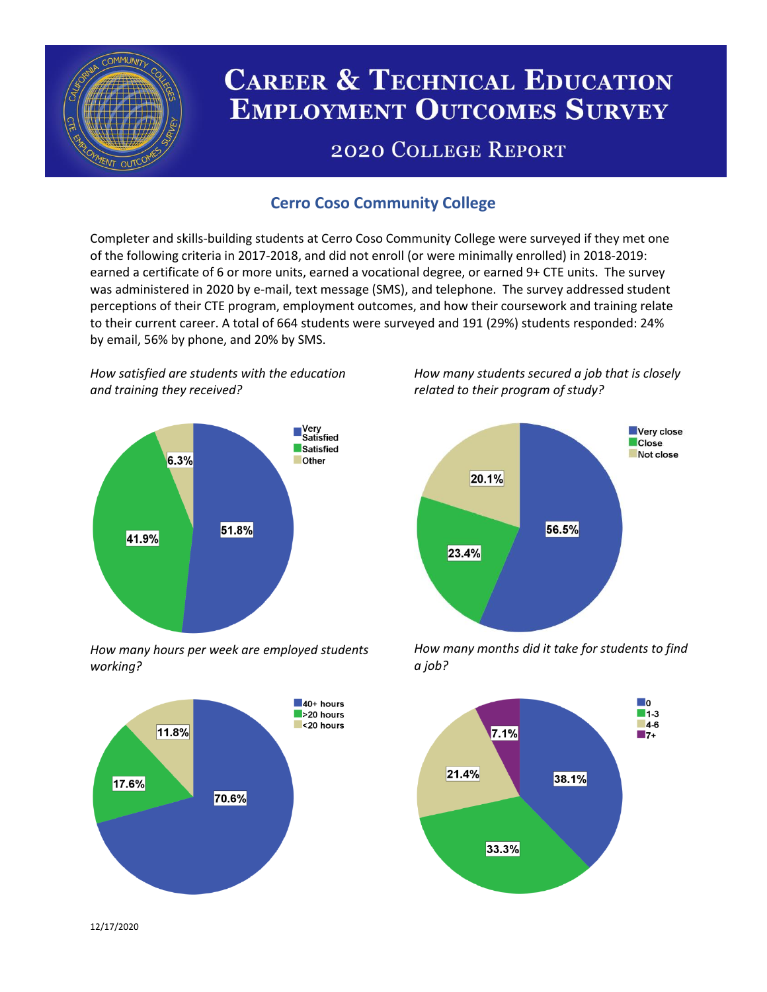

# **CAREER & TECHNICAL EDUCATION EMPLOYMENT OUTCOMES SURVEY**

## **2020 COLLEGE REPORT**

## **Cerro Coso Community College**

Completer and skills-building students at Cerro Coso Community College were surveyed if they met one of the following criteria in 2017-2018, and did not enroll (or were minimally enrolled) in 2018-2019: earned a certificate of 6 or more units, earned a vocational degree, or earned 9+ CTE units. The survey was administered in 2020 by e-mail, text message (SMS), and telephone. The survey addressed student perceptions of their CTE program, employment outcomes, and how their coursework and training relate to their current career. A total of 664 students were surveyed and 191 (29%) students responded: 24% by email, 56% by phone, and 20% by SMS.

*How satisfied are students with the education and training they received?*



*How many hours per week are employed students working?*



*How many students secured a job that is closely related to their program of study?*



*How many months did it take for students to find a job?*



12/17/2020